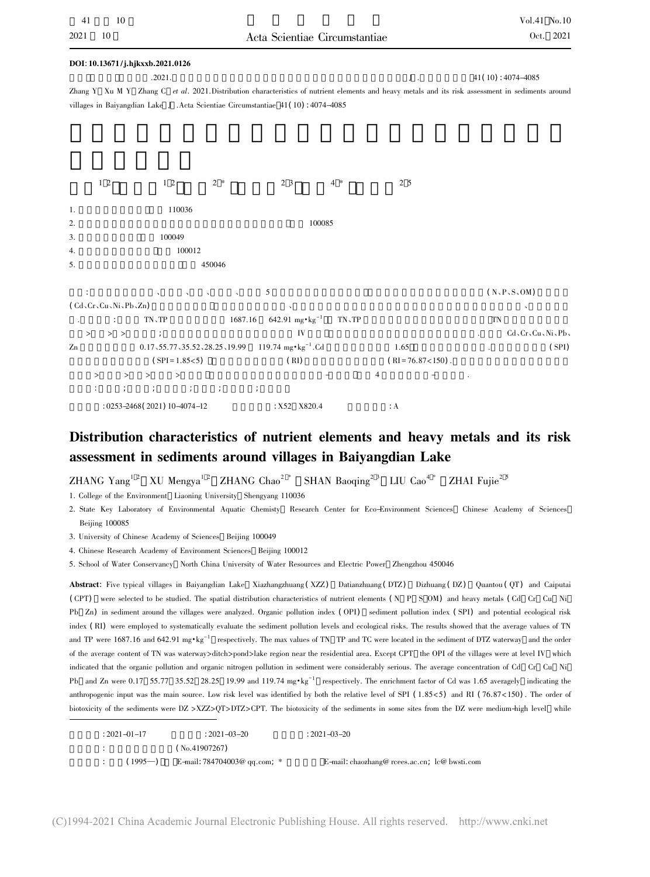|                          | DOI: 10.13671/j.hjkxxb.2021.0126                                                                                                                   |                                                        |                        |                       |
|--------------------------|----------------------------------------------------------------------------------------------------------------------------------------------------|--------------------------------------------------------|------------------------|-----------------------|
|                          | .2021.                                                                                                                                             |                                                        | ${\bf J}$ .            | $41(10): 4074 - 4085$ |
|                          | Zhang Y Xu M Y Zhang C et al. 2021. Distribution characteristics of nutrient elements and heavy metals and its risk assessment in sediments around |                                                        |                        |                       |
|                          | villages in Baiyangdian Lake J .Acta Scientiae Circumstantiae 41(10): 4074-4085                                                                    |                                                        |                        |                       |
|                          |                                                                                                                                                    |                                                        |                        |                       |
|                          |                                                                                                                                                    |                                                        |                        |                       |
|                          |                                                                                                                                                    |                                                        |                        |                       |
|                          |                                                                                                                                                    |                                                        |                        |                       |
| $1\,2$                   | $1\,2$<br>$2*$                                                                                                                                     | 2 3<br>$4 *$                                           | 2 5                    |                       |
| 1.                       | 110036                                                                                                                                             |                                                        |                        |                       |
| 2.                       |                                                                                                                                                    | 100085                                                 |                        |                       |
| 3.                       | 100049                                                                                                                                             |                                                        |                        |                       |
| 4.                       | 100012                                                                                                                                             |                                                        |                        |                       |
| 5.                       | 450046                                                                                                                                             |                                                        |                        |                       |
|                          |                                                                                                                                                    |                                                        |                        |                       |
|                          |                                                                                                                                                    | 5                                                      |                        | (N, P, S, OM)         |
| (Cd, Cr, Cu, Ni, Pb, Zn) |                                                                                                                                                    |                                                        |                        |                       |
|                          | $\mathcal{T}\mathcal{N}\smallsetminus\mathcal{T}\mathcal{P}$                                                                                       | 642.91 mg $\cdot$ kg <sup>-1</sup><br>1687.16<br>TN、TP |                        | TN                    |
| $>$ ><br>$\geq$          | $\ddot{\phantom{1}}$                                                                                                                               | IV                                                     |                        | Cd、Cr、Cu、Ni、Pb、       |
| Zn                       | $0.17, 55.77, 35.52, 28.25, 19.99$ 119.74 mg · kg <sup>-1</sup> .Cd                                                                                |                                                        | 1.65                   | (SPI)                 |
|                          | $(SPI = 1.85 < 5)$                                                                                                                                 | (RI)                                                   | $(RI = 76.87 < 150)$ . |                       |
| $\rm{>}$<br>$\geq$       | $\, >$<br>$\geq$                                                                                                                                   |                                                        | 4                      |                       |
|                          | $\mathcal{L} = \mathcal{L} \mathcal{L} = \mathcal{L} \mathcal{L}$<br>$\ddot{ }$                                                                    | $\ddot{\phantom{a}}$                                   |                        |                       |
|                          | $: 0253 - 2468(2021)10 - 4074 - 12$                                                                                                                | $X52$ $X820.4$                                         | $\therefore$ A         |                       |

## Distribution characteristics of nutrient elements and heavy metals and its risk assessment in sediments around villages in Baiyangdian Lake<br>ZHANG Yang<sup>12</sup> XU Mengya<sup>12</sup> ZHANG Chao<sup>2 \*</sup> SHAN Baoging<sup>2 3</sup> LIU Cao<sup>4 \*</sup> ZHAI Fujie<sup>2 5</sup>

 $\rm ZHANG\ Yang^{1.2}\quad XU\ Mengya^{1.2}\quad ZHANG\ Chao^{2. *}\ \rm 1.\ Colleze\ of\ the\ Environment\ Liaoning\ University\ Shengvanz\ 110036$ 

- 1. College of the Environment Liaoning University Shengyang 110036
- s<br>Research Center for Eco-Environment Sciences Chinese Academy of Sciences<br>Sciences State Key Lak<br>Boijing 100085 Beijing 100085 3. University of Chinese Academy of Sciences Beijing 100049
- 3. University of Chinese Academy of Sciences Beijing
- <sub>5</sub> 100049<br>s Beijing 100012 4. Chinese Research Academy of School of Water Conservancy
- 5. School of Water Conservancy North China University of Water Resources and Electric Power Zhengzhou 450046

Abstract: Five typical villages in Baiyangdian Lake Xiazhangzhuang (XZZ) Datianzhuang (DTZ) Dizhuang (DZ) Quantou (QT) and Caiputai Abstract: Five typical villages in Baiyangdian Lake Xiazhangzhuang(XZZ) Datianzhuang(DTZ) Dizhuang(DZ) Quantou(QT) and Caiput.<br>(CPT) were selected to be studied. The spatial distribution characteristics of nutrient element (CPT) were selected to be studied. The spatial distribution characteristics of nutrient elements (N P S OM) and heavy metals (Cd Cr Cu Ni<br>Pb Zn) in sediment around the villages were analyzed. Organic pollution index (OPI) index (RI) were employed to systematically evaluate the sediment pollution levels and ecological risks. The results showed that the average values of TN<br>and TP were 1687.16 and 642.91 mg\*kg<sup>-1</sup> respectively. The max values and TP were 1687.16 and 642.91 mg\*kg<sup>-1</sup> respectively. The max values of TN TP and TC were located in the sediment of DTZ waterway and the order<br>of the average content of TN was waterway>ditch>pond>lake region near the re of the average content of TN was waterway>ditch>pond>lake region near the residential area. Except CPT the OPI of the villages were at level IV whic<br>indicated that the organic pollution and organic nitrogen pollution in se indicated that the organic pollution and organic nitrogen pollution in sediment were considerably serious. The average concentration of Cd Cr Cu Ni<br>Pb and Zn were 0.17 55.77 35.52 28.25 19.99 and 119.74 mg·kg<sup>-1</sup> respectiv Pb and Zn were 0.17 55.77 35.52 28.25 19.99 and 119.74 mg·kg<sup>-1</sup> respectively. The enrichment factor of Cd was 1.65 averagely indicating the anthropogenic input was the main source. Low risk level was identified by both th anthropogenic input was the main source. Low risk level was identified by both the relative level of SPI (1.85<5) and RI (76.87<150). The order of<br>biotoxicity of the sediments were DZ >XZZ>OT>DTZ>CPT. The biotoxicity of th

| $: 2021 - 01 - 17$ | $: 2021 - 03 - 20$               | $: 2021 - 03 - 20$                                     |
|--------------------|----------------------------------|--------------------------------------------------------|
| <b>STATISTICS</b>  | (No.41907267)                    |                                                        |
| $(1995-)$          | E-mail: $784704003@$ qq.com; $*$ | E-mail: chaozhang@ rcees.ac.cn, $\text{lc@}$ bwsti.com |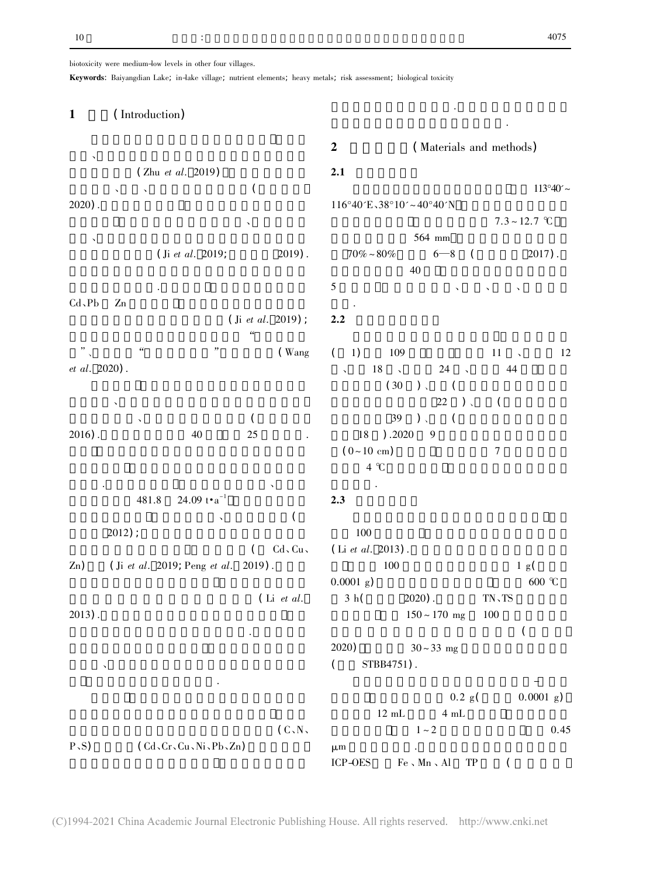# biotoxicity were medium-low levels in other four villages.

Keywords: Baiyangdian Lake; in-lake village; nutrient elements; heavy metals; risk assessment; biological toxicity

| <b>Key worus.</b> Daryangulan LaKe, in-laKe vinage, nument elements, neavy metals, risk assessment, biological toxicity |                                         |                                                                               |                                                                          |      |
|-------------------------------------------------------------------------------------------------------------------------|-----------------------------------------|-------------------------------------------------------------------------------|--------------------------------------------------------------------------|------|
| (Introduction)<br>$\mathbf{1}$                                                                                          |                                         |                                                                               |                                                                          |      |
|                                                                                                                         |                                         | $\boldsymbol{2}$                                                              | (Materials and methods)                                                  |      |
| (Zhu et al. 2019)                                                                                                       |                                         | 2.1                                                                           |                                                                          |      |
|                                                                                                                         | $\overline{\phantom{a}}$                |                                                                               | $113^{\circ}40'$ ~                                                       |      |
| $2020$ ).                                                                                                               |                                         | $116°40'E\sqrt{38°10'} \sim 40°40'N$                                          |                                                                          |      |
|                                                                                                                         |                                         |                                                                               | $7.3 \sim 12.7$ °C                                                       |      |
| (Ii et al. 2019;                                                                                                        | $2019$ .                                | $70\%$ $\sim80\%$                                                             | 564 mm<br>$6 - 8$<br>$2017$ .<br>$\sqrt{2}$<br>40                        |      |
| $Cd$ , $Pb$<br>Zn                                                                                                       |                                         | $\mathfrak s$                                                                 |                                                                          |      |
|                                                                                                                         | (Ji et al. 2019);<br>$\epsilon\epsilon$ | 2.2                                                                           |                                                                          |      |
| $\boldsymbol{\zeta}\boldsymbol{\zeta}$<br>et al. 2020).                                                                 | "<br>(Wang                              | $\left($<br>1)<br>109<br>$18 \rightarrow$<br>$\overline{\phantom{0}}$<br>(30) | 11<br>$\sim$<br>24<br>44<br>$\sim$<br>$)$ (<br>$22)$ ,<br>$\overline{C}$ | 12   |
|                                                                                                                         | $\left($                                | 39                                                                            | $)$ ,<br>$\sqrt{2}$                                                      |      |
| $2016$ ).<br>40                                                                                                         | $25\,$                                  | $18\,$<br>).2020<br>$(0-10 \text{ cm})$<br>$4^{\circ}C$                       | 9<br>$\boldsymbol{7}$                                                    |      |
| 24.09 $t \cdot a^{-1}$<br>481.8                                                                                         |                                         | 2.3                                                                           |                                                                          |      |
| $2012$ ;                                                                                                                | (                                       | 100                                                                           |                                                                          |      |
| (Ji et al. 2019; Peng et al. 2019).<br>Zn)                                                                              | $\left($<br>$Cd$ , $Cu$ ,               | (Li et al. 2013).<br>100<br>$0.0001$ g)                                       | 1 g(<br>600 $\degree$ C                                                  |      |
| $2013$ .                                                                                                                | $(Li$ <i>et al.</i>                     | 3 h(                                                                          | $2020$ ).<br>TN、TS<br>$150 \sim 170$ mg<br>100<br>(                      |      |
| $\checkmark$                                                                                                            |                                         | 2020)<br>(<br>STBB4751).                                                      | $30 - 33$ mg                                                             |      |
|                                                                                                                         |                                         | $12 \text{ mL}$                                                               | 0.2 g(<br>$0.0001$ g)<br>4 mL                                            |      |
|                                                                                                                         | (C, N,                                  |                                                                               | $1\sim2$                                                                 | 0.45 |
| P, S)<br>(Cd, Cr, Cu, Ni, Pb, Zn)                                                                                       |                                         | $\mu$ m<br>ICP-OES                                                            | $\rm Fe$ , $\rm Mn$ , $\rm Al$<br>${\rm TP}$                             |      |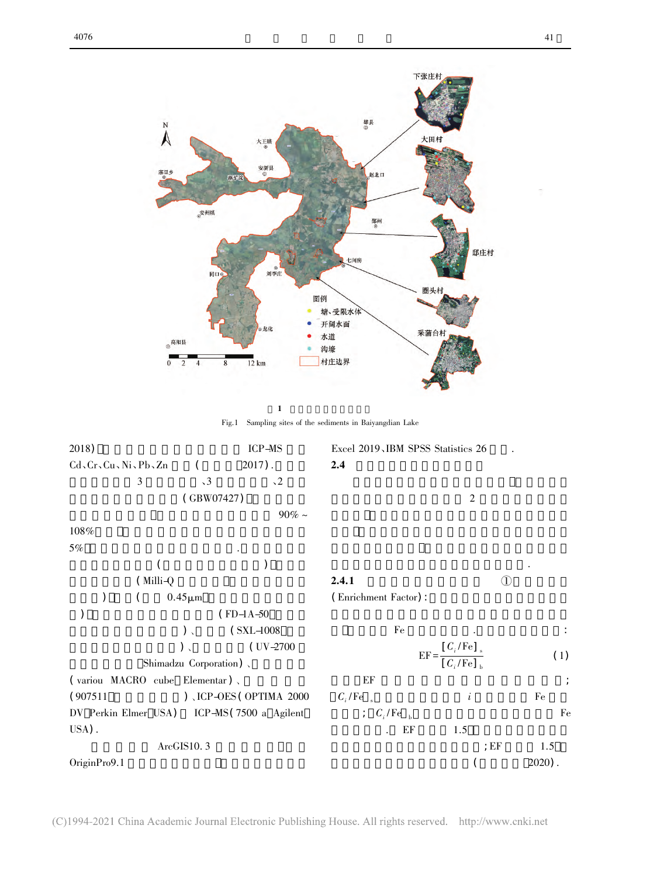

 $1$ Fig.1 Sampling sites of the sediments in Baiyangdian Lake

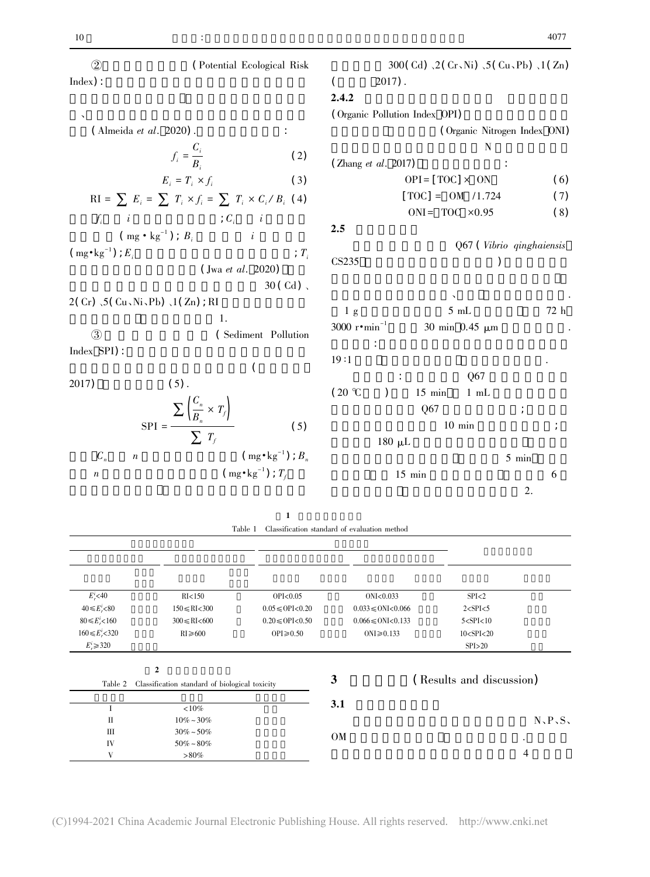| 10                                                                                           |                                                                              |                                                        |                                |                                            |                              |         | 4011     |
|----------------------------------------------------------------------------------------------|------------------------------------------------------------------------------|--------------------------------------------------------|--------------------------------|--------------------------------------------|------------------------------|---------|----------|
| $\circled{2}$                                                                                | (Potential Ecological Risk                                                   |                                                        |                                | 300(Cd) $2$ (Cr, Ni) $5$ (Cu, Pb) $1$ (Zn) |                              |         |          |
| Index):                                                                                      |                                                                              |                                                        |                                | $2017$ .                                   |                              |         |          |
|                                                                                              |                                                                              | 2.4.2                                                  |                                |                                            |                              |         |          |
|                                                                                              |                                                                              |                                                        |                                | (Organic Pollution Index OPI)              |                              |         |          |
| (Almeida et al. 2020).                                                                       |                                                                              |                                                        |                                |                                            | (Organic Nitrogen Index ONI) |         |          |
|                                                                                              | $f_i = \frac{C_i}{B_i}$                                                      |                                                        |                                |                                            | N                            |         |          |
|                                                                                              |                                                                              | (2)                                                    | (Zhang et al. 2017)            |                                            |                              |         |          |
|                                                                                              | $E_i = T_i \times f_i$                                                       | (3)                                                    |                                | $OPI = [TOC] \times ON$                    |                              |         | (6)      |
|                                                                                              | RI = $\sum E_i = \sum T_i \times f_i = \sum T_i \times C_i / B_i$ (4)        |                                                        |                                | $[TOC] = OM /1.724$                        |                              |         | (7)      |
|                                                                                              | $\; ; \; C_i \; \; \; \; \; \; \; \; i$                                      |                                                        |                                | ONI= TOC $\times 0.95$                     |                              |         | (8)      |
| $f_i$<br>$\qquad$ i $\left(\mbox{ mg}\bullet \mbox{ kg}^{-1}\right)\left(\mbox{ }B_i\right.$ |                                                                              | 2.5                                                    |                                |                                            |                              |         |          |
| $(\text{mg} \cdot \text{kg}^{-1})$ ; $E_i$                                                   |                                                                              | $T_i$                                                  |                                |                                            | Q67 (Vibrio qinghaiensis     |         |          |
|                                                                                              | $($ Jwa <i>et al.</i> 2020)                                                  | CS235                                                  |                                |                                            |                              |         |          |
|                                                                                              | $30$ (Cd)                                                                    |                                                        |                                |                                            |                              |         |          |
| $2(Cr)$ , $5(Cu \, Ni \, Pb)$ , $1(Zn)$ ; RI                                                 |                                                                              |                                                        |                                |                                            |                              |         |          |
|                                                                                              | 1.                                                                           | 1 <sub>g</sub>                                         |                                |                                            | $5mL$                        |         | $72\,$ h |
| $\circled{3}$                                                                                | (Sediment Pollution                                                          |                                                        | 3000 $r \cdot \text{min}^{-1}$ |                                            | 30 min 0.45 μm               |         |          |
| Index SPI):                                                                                  |                                                                              | 19:1                                                   |                                |                                            |                              |         |          |
|                                                                                              | (                                                                            |                                                        |                                |                                            | Q67                          |         |          |
| 2017)                                                                                        | $(5)$ .                                                                      | $(20 \degree C)$                                       | $\mathcal{E}$                  | $15$ min                                   | $1 \text{ mL}$               |         |          |
|                                                                                              |                                                                              |                                                        |                                | Q67                                        |                              |         |          |
|                                                                                              | $\text{SPI} = \frac{\sum \left(\frac{C_n}{B_n} \times T_j\right)}{\sum T_f}$ | (5)                                                    |                                |                                            | $10$ min                     |         |          |
|                                                                                              |                                                                              |                                                        |                                | $180 \mu L$                                |                              |         |          |
| $C_n$<br>$\boldsymbol{n}$                                                                    | $\text{( mg} \cdot \text{kg}^{-1})$ ; $B_n$                                  |                                                        |                                |                                            |                              | $5$ min |          |
| $\boldsymbol{n}$                                                                             | $(mg \cdot kg^{-1})$ ; $T_f$                                                 |                                                        |                                | $15$ min                                   |                              |         | 6        |
|                                                                                              |                                                                              |                                                        |                                |                                            |                              | 2.      |          |
|                                                                                              |                                                                              |                                                        |                                |                                            |                              |         |          |
|                                                                                              | 1                                                                            | Table 1. Classification standard of analyzation mathed |                                |                                            |                              |         |          |

| Table 1 Classification standard of evaluation method |  |  |
|------------------------------------------------------|--|--|
|                                                      |  |  |

| $E_r^i$ <40           | RI<150                                                             | OPI < 0.05                | ONI < 0.033                     | SPI < 2                  |
|-----------------------|--------------------------------------------------------------------|---------------------------|---------------------------------|--------------------------|
| $40 \le E_r^i < 80$   | $150 \le RI < 300$                                                 | $0.05 \leqslant$ OPI<0.20 | $0.033 \leqslant$ ONI<0.066     | $2 <$ SPI $<$ 5          |
| $80 \le E_r^i < 160$  | $300 \leq RI \leq 600$                                             | $0.20 \leq 0$ PI< $0.50$  | $0.066 \leqslant$ ONI $<$ 0.133 | $5 <$ SPI $<$ 10         |
| $160 \le E_r^i < 320$ | $RI \geq 600$                                                      | $OPI \ge 0.50$            | ONI $\geq 0.133$                | 10 < SPI < 20            |
| $E_r^i \geq 320$      |                                                                    |                           |                                 | SPI > 20                 |
| Table 2               | $\boldsymbol{2}$<br>Classification standard of biological toxicity |                           | 3                               | (Results and discussion) |
|                       |                                                                    |                           | 3.1                             |                          |
| I                     | ${10\%}$                                                           |                           |                                 |                          |
| $\mathbf{I}$<br>Ш     | $10\% \sim 30\%$<br>$30\% \sim 50\%$                               |                           |                                 | N, P, S                  |
| IV                    | $50\% \sim 80\%$                                                   |                           | OM                              | ٠                        |
| V                     | $>80\%$                                                            |                           |                                 | 4                        |

(C)1994-2021 China Academic Journal Electronic Publishing House. All rights reserved. http://www.cnki.net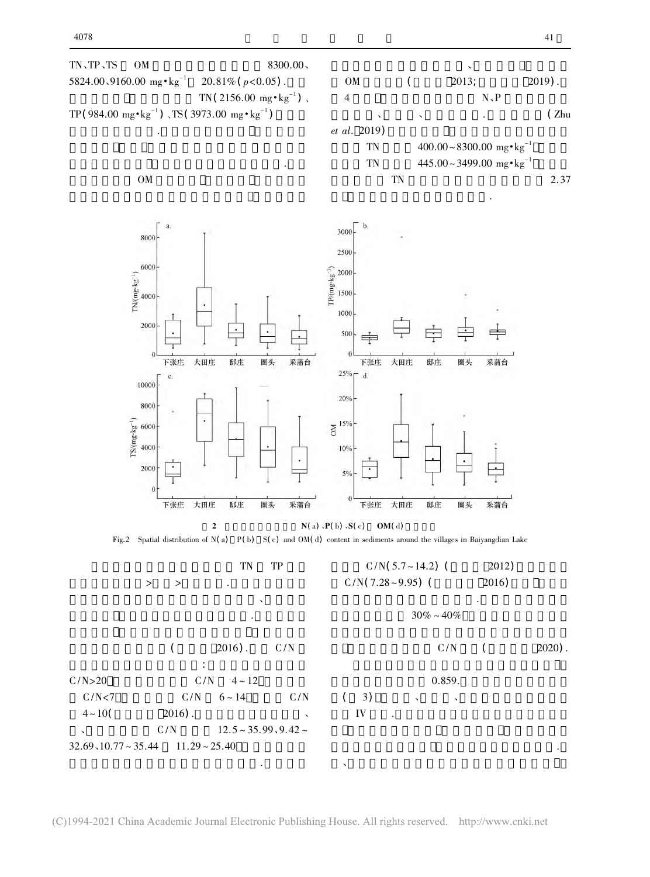

(C)1994-2021 China Academic Journal Electronic Publishing House. All rights reserved. http://www.cnki.net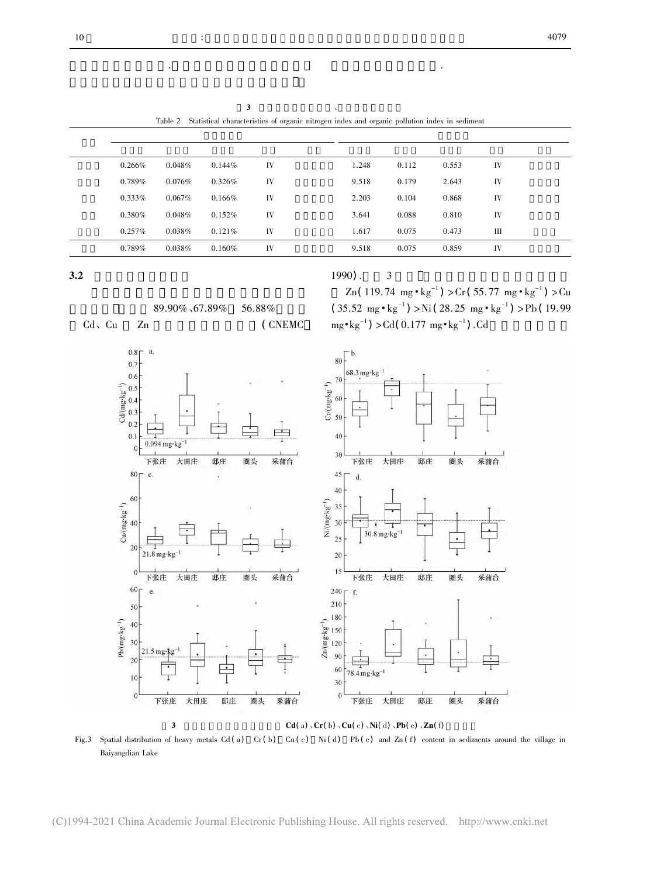| 0.266%    | 0.048%    | 0.144% | IV | 1.248 | 0.112 | 0.553 | IV |
|-----------|-----------|--------|----|-------|-------|-------|----|
| $0.789\%$ | 0.076%    | 0.326% | IV | 9.518 | 0.179 | 2.643 | IV |
| $0.333\%$ | $0.067\%$ | 0.166% | IV | 2.203 | 0.104 | 0.868 | IV |
| 0.380%    | 0.048%    | 0.152% | IV | 3.641 | 0.088 | 0.810 | IV |
| $0.257\%$ | 0.038%    | 0.121% | IV | 1.617 | 0.075 | 0.473 | Ш  |
| $0.789\%$ | 0.038%    | 0.160% | IV | 9.518 | 0.075 | 0.859 | IV |

 $3.2$ 

### $1990$ . . 3<br>  $(119.74 \text{ mg} \cdot \text{kg}^{-1})$  > Cr  $(55.77 \text{ mg} \cdot \text{kg}^{-1})$  > Cu

成淀中村水域污染严重.

 $89.90\%$ , 67.89% 56.88%  $Zn(119.74 \text{ mg} \cdot \text{kg}^{-1}) > Cr(55.77 \text{ mg} \cdot \text{kg}^{-1}) > Cu$ <br>
(35.52 mg  $\cdot \text{kg}^{-1}$ ) > Ni (28.25 mg  $\cdot \text{kg}^{-1}$ ) > Pb (19.99 mg  $\cdot \text{kg}^{-1}$ ) > Cd(0.177 mg  $\cdot \text{kg}^{-1}$ ) . Cd ng • kg<sup>-1</sup>) > Cr (55.77 mg • kg<sup>-1</sup>) > Cu<br>) > Ni (28.25 mg • kg<sup>-1</sup>) > Pb (19.99  $89.90\% \cdot 67.89\%$  56.88%<br>Cu Zn ( CNEMC  $mg \cdot kg^{-1}$ ) > Cd(0.177 mg $\cdot kg^{-1}$ ) . Cd  $80<sup>2</sup>$  $0.8\Gamma$  a.  $\cdot$  b.  $0.7$  $68.3 \text{ mg} \cdot \text{kg}^{-1}$  $0.6$ 70 Cd/(mg·kg<sup>-1</sup>)<br>
0.3<br>
0.3<br>
0.7  $Cr(mg \cdot kg^{-1})$  $60$ 50  $0.2$  $0.1$ 40  $0.094$  mg·kg  $\theta$ 30 下张庄 大田庄 邸庄 圈头 采蒲台 下张庄 大田庄 邸庄 圈头 采蒲台  $80 - c$ 45  $\mathbf{x}$  $\mathbf{d}$ 40 60  $\mathrm{Ni}/(\mathrm{m}\,\mathrm{g}\;\mathrm{kg}^{-1})$  $Cu/(mg \cdot kg^{-1})$ 35  $30$  $40$  $30.8\,\mathrm{mg\cdot kg^{-1}}$ 25  $\overline{20}$  $21.8 \text{ mg} \cdot \text{kg}^{-1}$ 20 15  $\boldsymbol{0}$ 采蒲台 下张庄 大田庄 邸庄 圈头 下张庄 大田庄 邸庄 圈头 采蒲台  $60<sub>0</sub>$ 240 e. f. 210 50  $\begin{bmatrix} 180 \\ \frac{1}{2} & 150 \\ \frac{1}{2} & 120 \\ \frac{1}{2} & 90 \end{bmatrix}$  $\frac{180}{ }$  $\text{Pb}(\text{mg-kg}^{-1})$ 40  $30$ 21.5 mg·kg  $\overline{20}$ 60  $78.4 \text{ mg} \cdot \text{kg}^{-1}$  $\overline{10}$  $30$  $\boldsymbol{0}$  $\mathbf{0}$ 下张庄 大田庄 邸庄 圈头 采蒲台 <sup>0</sup> 下张庄 大田庄 邸庄 圈头 采蒲台<br>3 Cd( a) 、Cr( b) 、Cu( c) 、Ni( d) 、Pb( e) 、Zn( f)

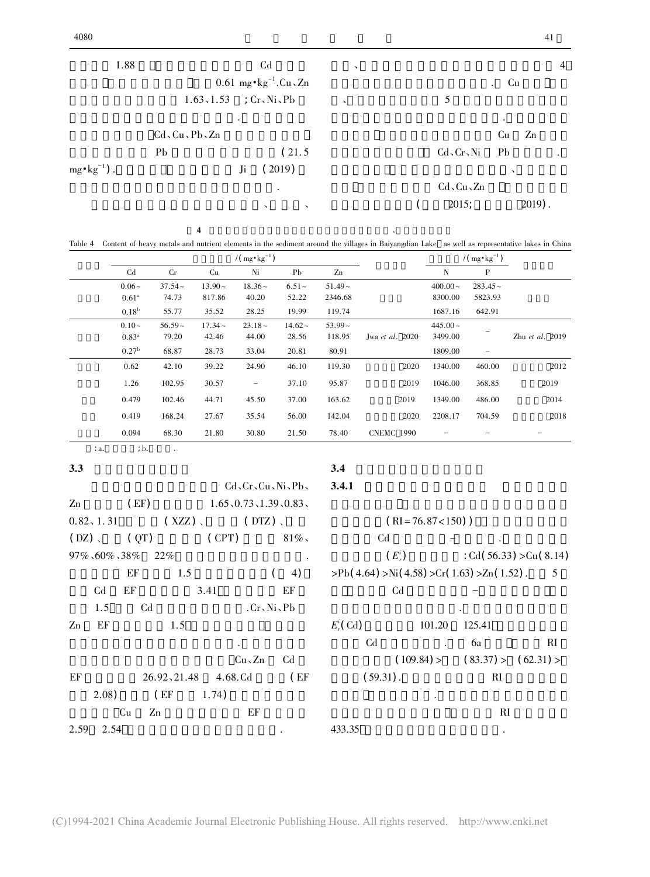| 4000                  |                           |                                                 |                           |                    |                     | 41             |
|-----------------------|---------------------------|-------------------------------------------------|---------------------------|--------------------|---------------------|----------------|
| 1.88                  |                           | C <sub>d</sub>                                  | $\boldsymbol{\checkmark}$ |                    |                     | $\overline{4}$ |
|                       |                           | 0.61 mg $\cdot$ kg <sup>-1</sup> .Cu $\cdot$ Zn |                           |                    | Cu<br>$\sim$ $\sim$ |                |
|                       |                           | $1.63, 1.53$ ; $Cr, Ni, Pb$                     | $\lambda$                 | 5                  |                     |                |
|                       |                           | $\bullet$                                       |                           |                    | $\cdot$             |                |
|                       | $Cd$ , $Cu$ , $Pb$ , $Zn$ |                                                 |                           |                    | Cu<br>Zn            |                |
|                       | P <sub>b</sub>            | (21.5)                                          |                           | $Cd$ , $Cr$ , Ni   | P <sub>b</sub>      |                |
| $mg \cdot kg^{-1}$ ). |                           | (2019)<br>Ji                                    |                           |                    | $\lambda$           |                |
|                       |                           | $\bullet$                                       |                           | $Cd$ , $Cu$ , $Zn$ |                     |                |
|                       |                           | $\lambda$<br>$\lambda$                          |                           | 2015;              | $2019$ .            |                |
|                       |                           |                                                 |                           |                    |                     |                |

 $4$ Table 4 Content of heavy metals and nutrient elements in the sediment around the villages in Baiyangdian Lake as well as representative lakes in China

| Table 4 |                                     |           |           |           |           |           | Content of heavy metals and nutrient elements in the sediment around the villages in Baiyangdian Lake as well as representative lakes in China |                                     |                          |                 |
|---------|-------------------------------------|-----------|-----------|-----------|-----------|-----------|------------------------------------------------------------------------------------------------------------------------------------------------|-------------------------------------|--------------------------|-----------------|
|         | $/(\text{mg} \cdot \text{kg}^{-1})$ |           |           |           |           |           |                                                                                                                                                | $/(\text{mg} \cdot \text{kg}^{-1})$ |                          |                 |
|         | C <sub>d</sub>                      | Cr        | Cu        | Ni        | Pb        | Zn        |                                                                                                                                                | N                                   | P                        |                 |
|         | $0.06 -$                            | $37.54 -$ | $13.90 -$ | $18.36 -$ | $6.51 -$  | $51.49 -$ |                                                                                                                                                | $400.00 -$                          | $283.45 -$               |                 |
|         | 0.61 <sup>a</sup>                   | 74.73     | 817.86    | 40.20     | 52.22     | 2346.68   |                                                                                                                                                | 8300.00                             | 5823.93                  |                 |
|         | 0.18 <sup>b</sup>                   | 55.77     | 35.52     | 28.25     | 19.99     | 119.74    |                                                                                                                                                | 1687.16                             | 642.91                   |                 |
|         | $0.10-$                             | $56.59 -$ | $17.34 -$ | $23.18 -$ | $14.62 -$ | $53.99 -$ |                                                                                                                                                | $445.00 -$                          |                          |                 |
|         | $0.83^{\rm a}$                      | 79.20     | 42.46     | 44.00     | 28.56     | 118.95    | Jwa et al. $2020$                                                                                                                              | 3499.00                             |                          | Zhu et al. 2019 |
|         | 0.27 <sup>b</sup>                   | 68.87     | 28.73     | 33.04     | 20.81     | 80.91     |                                                                                                                                                | 1809.00                             | $\overline{\phantom{0}}$ |                 |
|         | 0.62                                | 42.10     | 39.22     | 24.90     | 46.10     | 119.30    | 2020                                                                                                                                           | 1340.00                             | 460.00                   | 2012            |
|         | 1.26                                | 102.95    | 30.57     | -         | 37.10     | 95.87     | 2019                                                                                                                                           | 1046.00                             | 368.85                   | 2019            |
|         | 0.479                               | 102.46    | 44.71     | 45.50     | 37.00     | 163.62    | 2019                                                                                                                                           | 1349.00                             | 486.00                   | 2014            |
|         | 0.419                               | 168.24    | 27.67     | 35.54     | 56.00     | 142.04    | 2020                                                                                                                                           | 2208.17                             | 704.59                   | 2018            |
|         | 0.094                               | 68.30     | 21.80     | 30.80     | 21.50     | 78.40     | <b>CNEMC 1990</b>                                                                                                                              |                                     |                          |                 |

 $3.3$ 

: a.  $; b.$  .

 $Cd$ ,  $Cr$ ,  $Cu$ ,  $Ni$ ,  $Pb$ ,  $1.65, 0.73, 1.39, 0.83$  $Zn$  (EF) (EF)  $1.65 \times 0.73 \times 1.39 \times 0.83$ <br>( XZZ)  $\sim$  (DTZ)  $\sim$ (  $0.82, 1.31$  (  $XZZ$  ) ( DTZ ) ( DTZ ) ( DTZ ) ( OPT) 81%  $(DZ)$ ( $QT$ ) ( $CPT$ )  $81\%$ .  $97\% \cdot 60\% \cdot 38\%$  22%<br>EF 1.5 (4) EF 1.5 (4<br>Cd EF 3.41 EF Cd EF 3.41 EF<br>1.5 Cd .Cr、Ni、Pb  $1.5$  Cd  $1.5$  Ch,  $Ni\$ ,  $Pb$ <br>n EF  $1.5$  $\sum n$  EF 1.5 .<br>Cu、Zn Cd  $C_{\rm u}$ , Zn Cd<br>F 26.92, 21.48 4.68.Cd (EF EF 26.92,21.48 4.68.Cd (EF 2.08) (EF 1.74)  $(2.08)$   $(EF$   $1.74)$   $CF$   $EF$  $Cu$  Zn EF  $9$  2.54  $\cdot$  $E_i^i$ 

### $3.4$

#### $3.4.1$

 $(RI = 76.87 < 150)$ )  $(RI = 76.87 < 150)$  )<br>Cd  $-$ Cd  $\cdot$   $\cdot$  Cd( 56.33) >Cu(8.14)  $(E_r^i)$  : Cd(56.33) >Cu(8.1)<br>(4.64) >Ni(4.58) >Cr(1.63) >Zn(1.52) . 5  $\Pr(A.64) > Ni(4.58) > Cr(1.63) > Zn(1.52)$ . 5<br>Cd - $C<sub>d</sub>$  $\begin{array}{cc}\n \cdot & \cdot \\
 \text{(Cd)} & 101.20 & 125.41\n \end{array}$  $E_r^i$ (Cd) 101.20 125.41<br>Cd . 6a RI Cd . 6a RI<br>  $(109.84) > (83.37) > (62.31) >$  $(109.84) > (83.37) > (62.31) >$ <br>(59.31). RI  $(59.31)$ . RI  $\overline{\phantom{a}}$ 

 $5 \qquad \qquad \frac{1}{2}$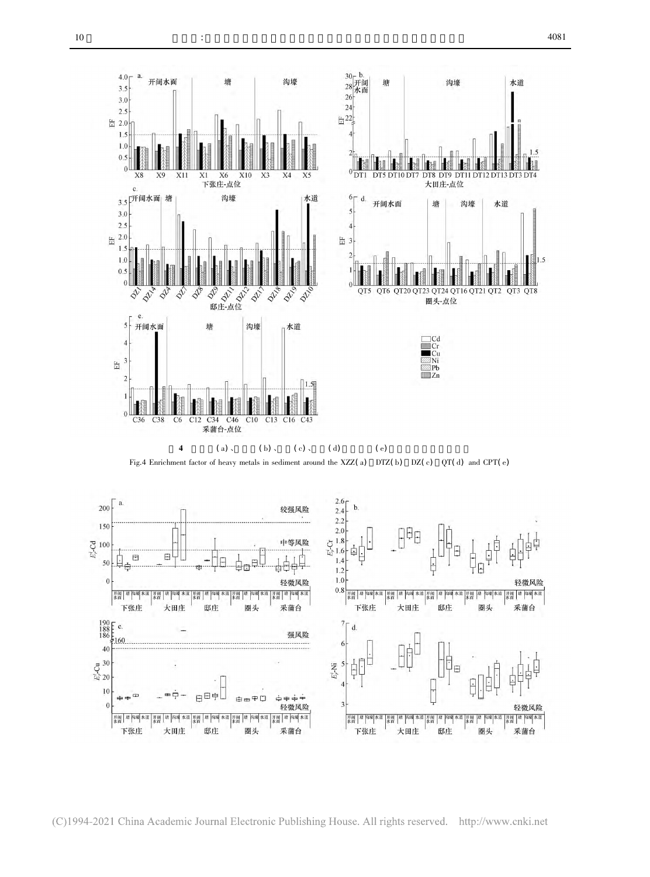

(C)1994-2021 China Academic Journal Electronic Publishing House. All rights reserved. http://www.cnki.net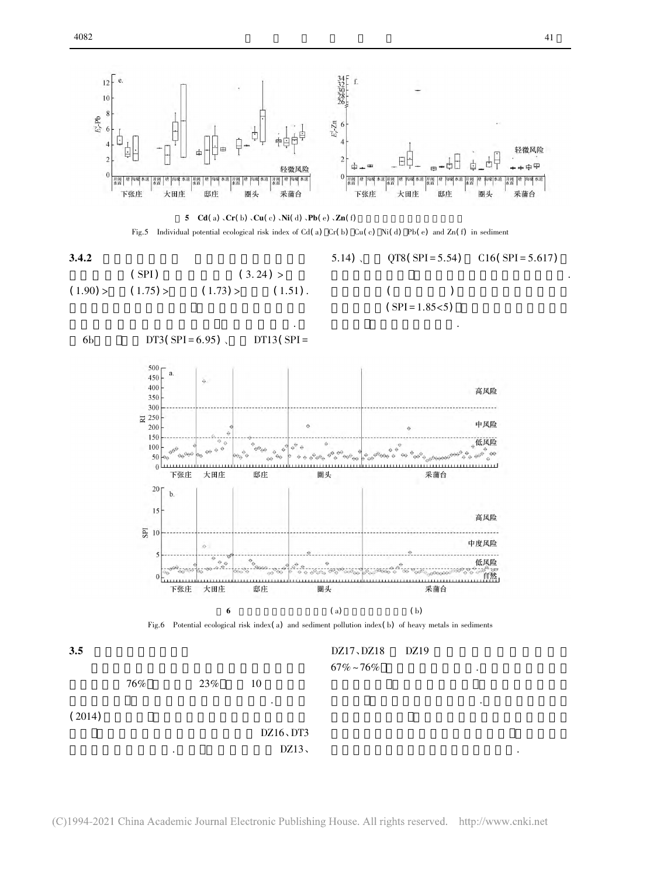



3.4.2 重金 污染指数 白洋淀淀中村表层沉积 物污 染 指 数 ( SPI) 均 值 为 大 田 庄 ( 3. 24 ) <sup>&</sup>gt; 邸 庄 ( 1.90) <sup>&</sup>gt;圏头( 1.75) <sup>&</sup>gt;下张庄( 1.73) <sup>&</sup>gt;采蒲台( 1.51) . 大多处于自然和低风险级别 污 染 程 度 较 低. 处在中风险级别 大田庄沉积物污染指数相对较高. 沉积物整体( 以均值表示) 风险指数相对应等级为 低风险级别( SPI <sup>=</sup> 1.85<5) 说明重金属污染程度尚 不严重 整体污染水平不高.

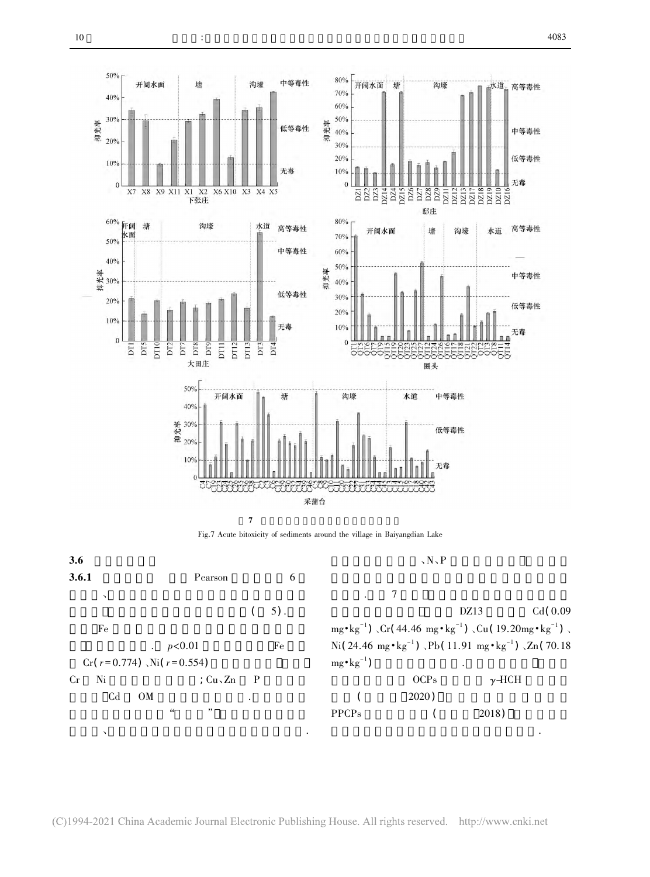

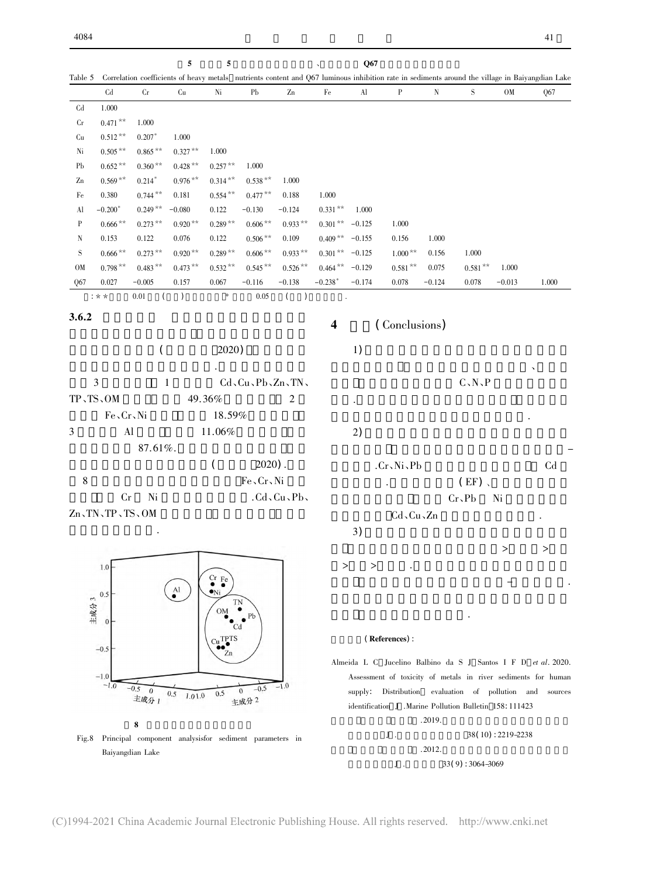$5$  Correlation coefficients of heavy metals nutrients content and O67 luminous inhibition rate in sediments around the village in Baiyangdian Lake  $5 \t 5 \t 067$ Correlation coefficients of heavy metals nutrients content and Q67 luminous inhibition rate in sediments around the village in Baiyangdian Q67  $\frac{\text{Cd}}{\text{Cd} \qquad 1.000}$  $Cd$  $C_{\rm r}$  $0.471***$  1.000 r  $0.471**$  1.000<br>u  $0.512**$   $0.207*$  1.000 **Cu**  $\begin{array}{ccccccccc}\n & 0.512 & * & 0.207 & 1.000 \\
 & 0.505 & * & 0.865 & * & 0.327 & * & 1.000\n\end{array}$ Ni  $\begin{array}{r}\n\text{i} \quad 0.505 \, ^{**} \quad 0.865 \, ^{**} \quad 0.327 \, ^{**} \quad 1.000 \\
\text{b} \quad 0.652 \, ^{**} \quad 0.360 \, ^{**} \quad 0.428 \, ^{**} \quad 0.257 \, ^{**} \quad 1.000\n\end{array}$  $\rm Pb$ b  $0.652**$   $0.360**$   $0.428**$   $0.257**$   $1.000$ <br>n  $0.569**$   $0.214*$   $0.976**$   $0.314**$   $0.538**$   $1.000$  $\text{Zn}$  0.569\*\*<br>Fe 0.380  $0.214^*$   $0.976**$ <br> $0.744**$   $0.181$ 1.000  $6^{**}$  0.314\*\* 0.538<sup>\*\*</sup> 1.000<br>1 0.554<sup>\*\*</sup> 0.477<sup>\*\*</sup> 0.188 1.000 Fe  $0.380$   $0.744**$   $0.181$   $0.554$ <br>Al  $0.200**$   $0.240**$   $-0.080$   $0.122$  $4^{**}$  0.477<sup>\*\*</sup> 0.188 1.000<br>2 -0.130 -0.124 0.331<sup>\*\*</sup> 1.000 A<sub>l</sub> 1.000  $0.666*$   $0.249**$   $-0.080$   $0.122$   $-0.130$   $-0.124$   $0.331**$   $1.000$ <br>P  $0.666**$   $0.273**$   $0.920**$   $0.289**$   $0.606**$   $0.933**$   $0.301**$   $-0.125$   $1.000$  $0.301 \times 1000$ <br> $0.409 \times 100155$   $0.156$   $1.000$  $\begin{array}{cccc} 0.289^{**} & 0.606^{**} & 0.933^{**} \\ 0.122 & 0.506^{**} & 0.109 \end{array}$ P  $0.666**$   $0.273**$   $0.920**$  0.289<br>N 0.153 0.122 0.076 0.122 N  $\begin{array}{cccccccccccccccc} \textrm{N} & & 0.153 & & 0.122 & & 0.076 & & 0.122 & & 0.506 ** & 0.109 & & 0.409 ** & -0.155 & & 0.156 & & 1.000 \ \textrm{S} & & 0.666** & & 0.273** & & 0.920** & 0.289*** & 0.606** & 0.933*** & 0.301** & -0.125 & & 1.000** & 0.156 & & 1.000 \ \textrm{S} & & & & & & & & & & & & & & & & &$ S<sub>s</sub>  $0.666**$   $0.273***$   $0.920**$   $0.289**$   $0.606**$   $0.933**$   $0.301**$   $-0.125$ <br>M  $0.798***$   $0.483**$   $0.473**$   $0.532**$   $0.545**$   $0.526**$   $0.464**$   $-0.129$  $\begin{array}{cccc} 5 & 1.000^{**} & 0.156 & 1.000 \\ 9 & 0.581^{**} & 0.075 & 0.581^{**} & 1.000 \end{array}$ 0.798 \*\*<br>Q67 0.027  $8^{***}$   $0.483^{**}$   $0.473^{**}$   $0.532^{**}$   $0.545^{**}$   $0.526^{**}$   $0.464^{**}$   $-0.129$   $0.581^{**}$   $0.075$   $0.581^{**}$   $1.000$ <br>7  $-0.005$   $0.157$   $0.067$   $-0.116$   $-0.138$   $-0.238^{*}$   $-0.174$   $0.078$   $-0.124$   $0.078$   $-0.013$   $\frac{0.027}{0.027}$   $\frac{-0.005}{0.157}$   $\frac{0.067}{0.05}$   $\frac{-0.116}{0.05}$   $\frac{-0.138}{0.05}$   $\frac{-0.238^*}{0.01}$  $3.6.2$ <sup>4</sup> ( Conclusions)  $(2020)$  $($  2020) ) and  $\Gamma$  $\frac{1}{2}$   $\frac{1}{2}$   $\frac{1}{2}$   $\frac{1}{2}$   $\frac{1}{2}$   $\frac{1}{2}$   $\frac{1}{2}$   $\frac{1}{2}$   $\frac{1}{2}$   $\frac{1}{2}$   $\frac{1}{2}$   $\frac{1}{2}$   $\frac{1}{2}$   $\frac{1}{2}$   $\frac{1}{2}$   $\frac{1}{2}$   $\frac{1}{2}$   $\frac{1}{2}$   $\frac{1}{2}$   $\frac{1}{2}$   $\frac{1}{2}$   $\frac{1}{2}$   $C_N, P$  $\mathcal{A}=\mathcal{A}$ 3 1  $Cd_5Cu_5Pb_5Zn_5TS_5OM$  49.36% 2  $C_{\infty}N_{\infty}P$  $TP, TS, OM$  49.36%<br>Fe, Cr, Ni 18.59%  $\mathcal{N}(\mathcal{N})$  $Fe \sim Cr \sim Ni$  18.59%<br>3 Al 11.06% 3 Al  $11.06\%$ <br>87.61%.  $(2)$ ) and  $\Gamma$  $87.61\%$ . ( 2020). Cr、Ni、Pb Cd  $(2020).$ <br>  $Fe<sub>x</sub>Cr<sub>y</sub>Ni$ Cr, Ni, Pb Cd (EF) 、  $8$   $\text{Fe}\text{-}\text{Cr}\text{-}\text{Ni}$   $\text{Cd}\text{-}\text{Cu}\text{-}\text{Pb}$  $(EF)$ ,  $Cr_2Pb$  Ni  $Cr$  Ni  $\therefore Cd\cdot Cu\cdot Pb\cdot$ <br> $\therefore TN\cdot TP\cdot TS\cdot OM$  $C_d$ ,  $C_u$ ,  $Z_n$  The  $C_d$ ,  $Z_n$  $Zn$ , TN, TP, TS, OM.  $\tag{3}$ ) and  $\Gamma$  $\begin{array}{lllllll} \multicolumn{2}{l}{{\footnotesize \begin{array}{l} \hline \multicolumn{2}{c}{{\footnotesize \begin{array}{c} \hline \multicolumn{2}{c}{{\footnotesize \begin{array}{c} \hline \multicolumn{2}{c}{{\footnotesize \begin{array}{c} \hline \multicolumn{2}{c}{{\footnotesize \begin{array}{c} \hline \multicolumn{2}{c}{{\footnotesize \begin{array}{c} \hline \multicolumn{2}{c}{{\footnotesize \begin{array}{c} \hline \multicolumn{2}{c}{{\footnotesize \begin{array}{c} \hline \multicolumn{2}{c}{{\footnotesize \begin{array$  $X \times Y \times Y$  $1.0$  $Cr$  $\frac{F}{4}$  $\mathbf{A}$ 风险 影响白洋淀水生态健康.  $0.5$ 主成分 3  $\Omega$ Cd ( References) : **TPTS** Almeida L C Jucelino Balbino da S J Santos I F D et al. 2020.  $-0.5$ 



 $1.2019.$ <br> $J.$   $38(10):2219-2238$  $J$  .  $38(10):2219-2238$ <br> $.2012.$  $J$  . 2012.<br> $J$  . 33(9): 3064-3069